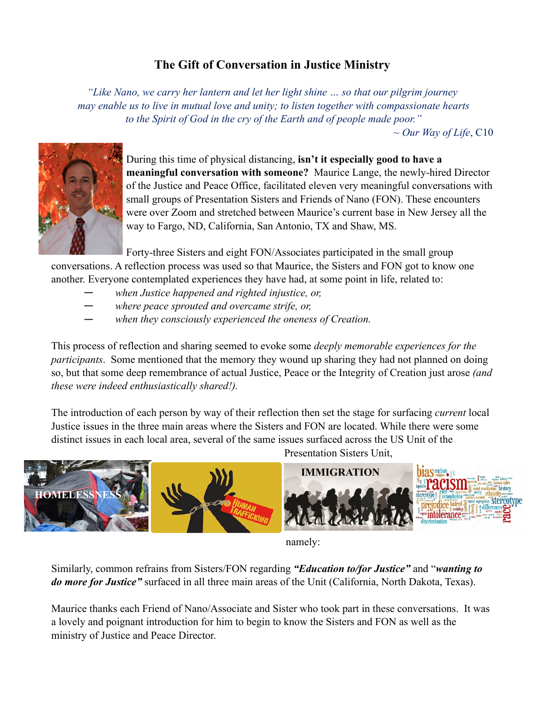## **The Gift of Conversation in Justice Ministry**

*"Like Nano, we carry her lantern and let her light shine … so that our pilgrim journey may enable us to live in mutual love and unity; to listen together with compassionate hearts to the Spirit of God in the cry of the Earth and of people made poor."*

*~ Our Way of Life*, C10



During this time of physical distancing, **isn't it especially good to have a meaningful conversation with someone?** Maurice Lange, the newly-hired Director of the Justice and Peace Office, facilitated eleven very meaningful conversations with small groups of Presentation Sisters and Friends of Nano (FON). These encounters were over Zoom and stretched between Maurice's current base in New Jersey all the way to Fargo, ND, California, San Antonio, TX and Shaw, MS.

Forty-three Sisters and eight FON/Associates participated in the small group conversations. A reflection process was used so that Maurice, the Sisters and FON got to know one another. Everyone contemplated experiences they have had, at some point in life, related to:

- ― *when Justice happened and righted injustice, or,*
- ― *where peace sprouted and overcame strife, or,*
- when they consciously experienced the oneness of Creation.

This process of reflection and sharing seemed to evoke some *deeply memorable experiences for the participants*. Some mentioned that the memory they wound up sharing they had not planned on doing so, but that some deep remembrance of actual Justice, Peace or the Integrity of Creation just arose *(and these were indeed enthusiastically shared!).*

The introduction of each person by way of their reflection then set the stage for surfacing *current* local Justice issues in the three main areas where the Sisters and FON are located. While there were some distinct issues in each local area, several of the same issues surfaced across the US Unit of the



namely:

Similarly, common refrains from Sisters/FON regarding *"Education to/for Justice"* and "*wanting to do more for Justice"* surfaced in all three main areas of the Unit (California, North Dakota, Texas).

Maurice thanks each Friend of Nano/Associate and Sister who took part in these conversations. It was a lovely and poignant introduction for him to begin to know the Sisters and FON as well as the ministry of Justice and Peace Director.